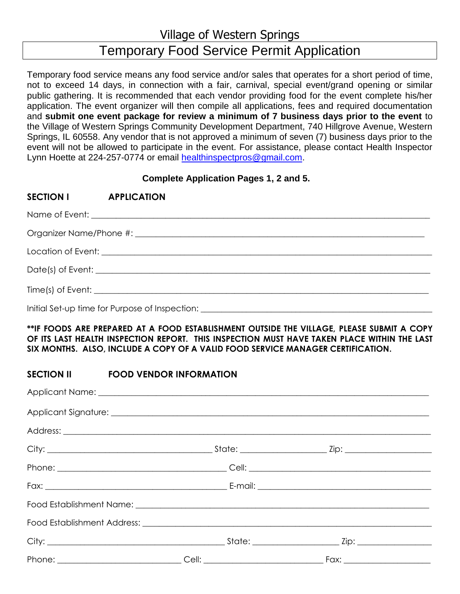Village of Western Springs

# Temporary Food Service Permit Application

Temporary food service means any food service and/or sales that operates for a short period of time, not to exceed 14 days, in connection with a fair, carnival, special event/grand opening or similar public gathering. It is recommended that each vendor providing food for the event complete his/her application. The event organizer will then compile all applications, fees and required documentation and **submit one event package for review a minimum of 7 business days prior to the event** to the Village of Western Springs Community Development Department, 740 Hillgrove Avenue, Western Springs, IL 60558. Any vendor that is not approved a minimum of seven (7) business days prior to the event will not be allowed to participate in the event. For assistance, please contact Health Inspector Lynn Hoette at 224-257-0774 or email [healthinspectpros@gmail.com.](mailto:healthinspectpros@gmail.com)

## **Complete Application Pages 1, 2 and 5.**

| SECTION I APPLICATION |                                                                                   |  |  |  |  |
|-----------------------|-----------------------------------------------------------------------------------|--|--|--|--|
|                       |                                                                                   |  |  |  |  |
|                       |                                                                                   |  |  |  |  |
|                       |                                                                                   |  |  |  |  |
|                       |                                                                                   |  |  |  |  |
|                       |                                                                                   |  |  |  |  |
|                       | Initial Set-up time for Purpose of Inspection: __________________________________ |  |  |  |  |

### **\*\*IF FOODS ARE PREPARED AT A FOOD ESTABLISHMENT OUTSIDE THE VILLAGE, PLEASE SUBMIT A COPY OF ITS LAST HEALTH INSPECTION REPORT. THIS INSPECTION MUST HAVE TAKEN PLACE WITHIN THE LAST SIX MONTHS. ALSO, INCLUDE A COPY OF A VALID FOOD SERVICE MANAGER CERTIFICATION.**

## **SECTION II FOOD VENDOR INFORMATION**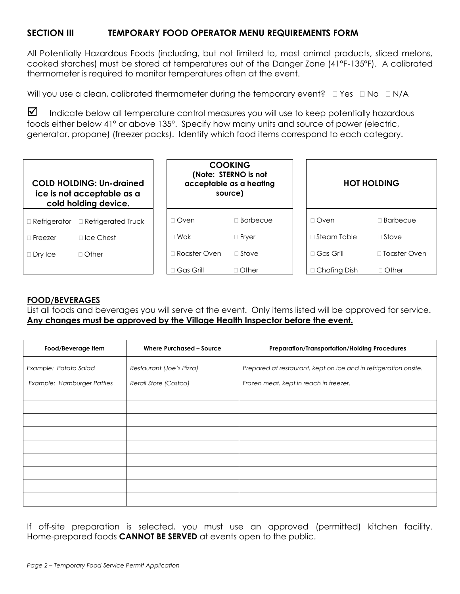# **SECTION III TEMPORARY FOOD OPERATOR MENU REQUIREMENTS FORM**

All Potentially Hazardous Foods (including, but not limited to, most animal products, sliced melons, cooked starches) must be stored at temperatures out of the Danger Zone (41°F-135°F). A calibrated thermometer is required to monitor temperatures often at the event.

Will you use a clean, calibrated thermometer during the temporary event?  $\Box$  Yes  $\Box$  No  $\Box$  N/A

 $\boxtimes$  Indicate below all temperature control measures you will use to keep potentially hazardous foods either below 41° or above 135°. Specify how many units and source of power (electric, generator, propane) (freezer packs). Identify which food items correspond to each category.

| <b>COLD HOLDING: Un-drained</b><br>ice is not acceptable as a<br>cold holding device. |                                     |                | <b>COOKING</b><br>(Note: STERNO is not<br>acceptable as a heating<br>source) |  | <b>HOT HOLDING</b>  |                     |
|---------------------------------------------------------------------------------------|-------------------------------------|----------------|------------------------------------------------------------------------------|--|---------------------|---------------------|
|                                                                                       | □ Refrigerator □ Refrigerated Truck | $\Box$ Oven    | $\Box$ Barbecue                                                              |  | $\Box$ Oven         | $\Box$ Barbecue     |
| $\sqcap$ Freezer                                                                      | $\Box$ Ice Chest                    | $\Box$ Wok     | $\Box$ Fryer                                                                 |  | $\Box$ Steam Table  | $\Box$ Stove        |
| $\Box$ Dry Ice                                                                        | $\Box$ Other                        | ∏ Roaster Oven | $\Box$ Stove                                                                 |  | $\Box$ Gas Grill    | $\Box$ Toaster Oven |
|                                                                                       |                                     | Gas Grill      | $\Box$ Other                                                                 |  | $\Box$ Chafing Dish | $\Box$ Other        |

### **FOOD/BEVERAGES**

List all foods and beverages you will serve at the event. Only items listed will be approved for service. **Any changes must be approved by the Village Health Inspector before the event.**

| Food/Beverage Item         | <b>Where Purchased - Source</b> | <b>Preparation/Transportation/Holding Procedures</b>             |
|----------------------------|---------------------------------|------------------------------------------------------------------|
| Example: Potato Salad      | Restaurant (Joe's Pizza)        | Prepared at restaurant, kept on ice and in refrigeration onsite. |
| Example: Hamburger Patties | Retail Store (Costco)           | Frozen meat, kept in reach in freezer.                           |
|                            |                                 |                                                                  |
|                            |                                 |                                                                  |
|                            |                                 |                                                                  |
|                            |                                 |                                                                  |
|                            |                                 |                                                                  |
|                            |                                 |                                                                  |
|                            |                                 |                                                                  |
|                            |                                 |                                                                  |
|                            |                                 |                                                                  |

If off-site preparation is selected, you must use an approved (permitted) kitchen facility. Home-prepared foods **CANNOT BE SERVED** at events open to the public.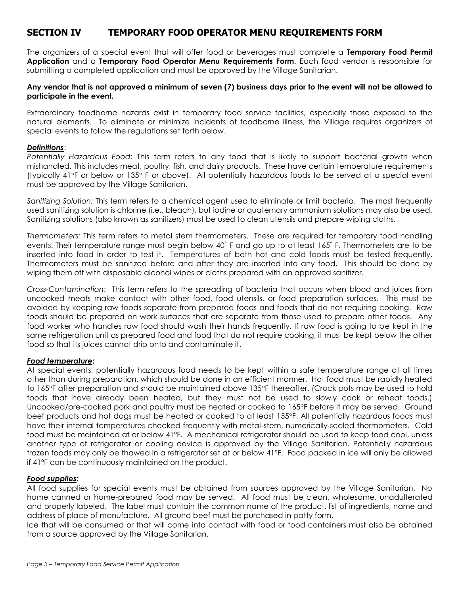# **SECTION IV TEMPORARY FOOD OPERATOR MENU REQUIREMENTS FORM**

The organizers of a special event that will offer food or beverages must complete a **Temporary Food Permit Application** and a **Temporary Food Operator Menu Requirements Form**. Each food vendor is responsible for submitting a completed application and must be approved by the Village Sanitarian.

#### **Any vendor that is not approved a minimum of seven (7) business days prior to the event will not be allowed to participate in the event.**

Extraordinary foodborne hazards exist in temporary food service facilities, especially those exposed to the natural elements. To eliminate or minimize incidents of foodborne illness, the Village requires organizers of special events to follow the regulations set forth below.

#### *Definitions*:

*Potentially Hazardous Food*: This term refers to any food that is likely to support bacterial growth when mishandled. This includes meat, poultry, fish, and dairy products. These have certain temperature requirements (typically 41°F or below or 135° F or above). All potentially hazardous foods to be served at a special event must be approved by the Village Sanitarian.

*Sanitizing Solution:* This term refers to a chemical agent used to eliminate or limit bacteria. The most frequently used sanitizing solution is chlorine (i.e., bleach), but iodine or quaternary ammonium solutions may also be used. Sanitizing solutions (also known as sanitizers) must be used to clean utensils and prepare wiping cloths.

*Thermometers:* This term refers to metal stem thermometers. These are required for temporary food handling events. Their temperature range must begin below 40˚ F and go up to at least 165˚ F. Thermometers are to be inserted into food in order to test it. Temperatures of both hot and cold foods must be tested frequently. Thermometers must be sanitized before and after they are inserted into any food. This should be done by wiping them off with disposable alcohol wipes or cloths prepared with an approved sanitizer.

*Cross-Contamination*: This term refers to the spreading of bacteria that occurs when blood and juices from uncooked meats make contact with other food, food utensils, or food preparation surfaces. This must be avoided by keeping raw foods separate from prepared foods and foods that do not requiring cooking. Raw foods should be prepared on work surfaces that are separate from those used to prepare other foods. Any food worker who handles raw food should wash their hands frequently. If raw food is going to be kept in the same refrigeration unit as prepared food and food that do not require cooking, it must be kept below the other food so that its juices cannot drip onto and contaminate it.

#### *Food temperature***:**

At special events, potentially hazardous food needs to be kept within a safe temperature range at all times other than during preparation, which should be done in an efficient manner. Hot food must be rapidly heated to 165°F after preparation and should be maintained above 135°F thereafter. (Crock pots may be used to hold foods that have already been heated, but they must not be used to slowly cook or reheat foods.) Uncooked/pre-cooked pork and poultry must be heated or cooked to 165°F before it may be served. Ground beef products and hot dogs must be heated or cooked to at least 155°F. All potentially hazardous foods must have their internal temperatures checked frequently with metal-stem, numerically-scaled thermometers. Cold food must be maintained at or below 41ºF. A mechanical refrigerator should be used to keep food cool, unless another type of refrigerator or cooling device is approved by the Village Sanitarian. Potentially hazardous frozen foods may only be thawed in a refrigerator set at or below 41ºF. Food packed in ice will only be allowed if 41ºF can be continuously maintained on the product.

#### *Food supplies:*

All food supplies for special events must be obtained from sources approved by the Village Sanitarian. No home canned or home-prepared food may be served. All food must be clean, wholesome, unadulterated and properly labeled. The label must contain the common name of the product, list of ingredients, name and address of place of manufacture. All ground beef must be purchased in patty form.

Ice that will be consumed or that will come into contact with food or food containers must also be obtained from a source approved by the Village Sanitarian.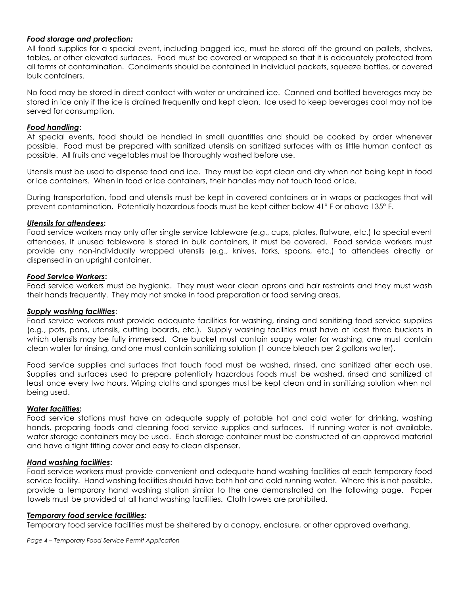#### *Food storage and protection:*

All food supplies for a special event, including bagged ice, must be stored off the ground on pallets, shelves, tables, or other elevated surfaces. Food must be covered or wrapped so that it is adequately protected from all forms of contamination. Condiments should be contained in individual packets, squeeze bottles, or covered bulk containers.

No food may be stored in direct contact with water or undrained ice. Canned and bottled beverages may be stored in ice only if the ice is drained frequently and kept clean. Ice used to keep beverages cool may not be served for consumption.

#### *Food handling***:**

At special events, food should be handled in small quantities and should be cooked by order whenever possible. Food must be prepared with sanitized utensils on sanitized surfaces with as little human contact as possible. All fruits and vegetables must be thoroughly washed before use.

Utensils must be used to dispense food and ice. They must be kept clean and dry when not being kept in food or ice containers. When in food or ice containers, their handles may not touch food or ice.

During transportation, food and utensils must be kept in covered containers or in wraps or packages that will prevent contamination. Potentially hazardous foods must be kept either below 41º F or above 135º F.

#### *Utensils for attendees***:**

Food service workers may only offer single service tableware (e.g., cups, plates, flatware, etc.) to special event attendees. If unused tableware is stored in bulk containers, it must be covered. Food service workers must provide any non-individually wrapped utensils (e.g., knives, forks, spoons, etc.) to attendees directly or dispensed in an upright container.

#### *Food Service Workers***:**

Food service workers must be hygienic. They must wear clean aprons and hair restraints and they must wash their hands frequently. They may not smoke in food preparation or food serving areas.

#### *Supply washing facilities*:

Food service workers must provide adequate facilities for washing, rinsing and sanitizing food service supplies (e.g., pots, pans, utensils, cutting boards, etc.). Supply washing facilities must have at least three buckets in which utensils may be fully immersed. One bucket must contain soapy water for washing, one must contain clean water for rinsing, and one must contain sanitizing solution (1 ounce bleach per 2 gallons water).

Food service supplies and surfaces that touch food must be washed, rinsed, and sanitized after each use. Supplies and surfaces used to prepare potentially hazardous foods must be washed, rinsed and sanitized at least once every two hours. Wiping cloths and sponges must be kept clean and in sanitizing solution when not being used.

#### *Water facilities***:**

Food service stations must have an adequate supply of potable hot and cold water for drinking, washing hands, preparing foods and cleaning food service supplies and surfaces. If running water is not available, water storage containers may be used. Each storage container must be constructed of an approved material and have a tight fitting cover and easy to clean dispenser.

#### *Hand washing facilities***:**

Food service workers must provide convenient and adequate hand washing facilities at each temporary food service facility. Hand washing facilities should have both hot and cold running water. Where this is not possible, provide a temporary hand washing station similar to the one demonstrated on the following page. Paper towels must be provided at all hand washing facilities. Cloth towels are prohibited.

#### *Temporary food service facilities:*

Temporary food service facilities must be sheltered by a canopy, enclosure, or other approved overhang.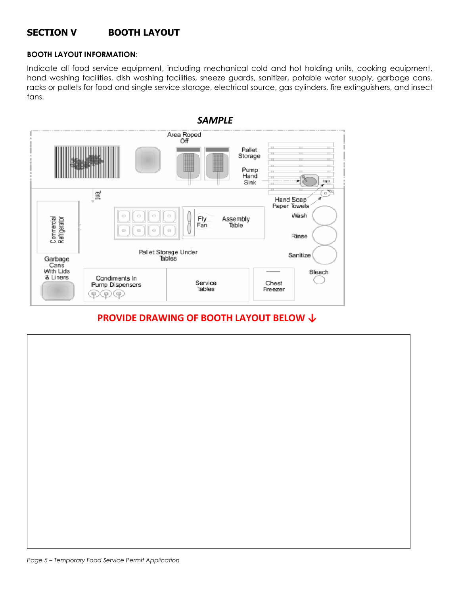# **SECTION V BOOTH LAYOUT**

#### **BOOTH LAYOUT INFORMATION**:

Indicate all food service equipment, including mechanical cold and hot holding units, cooking equipment, hand washing facilities, dish washing facilities, sneeze guards, sanitizer, potable water supply, garbage cans, racks or pallets for food and single service storage, electrical source, gas cylinders, fire extinguishers, and insect fans.



# **PROVIDE DRAWING OF BOOTH LAYOUT BELOW ↓**